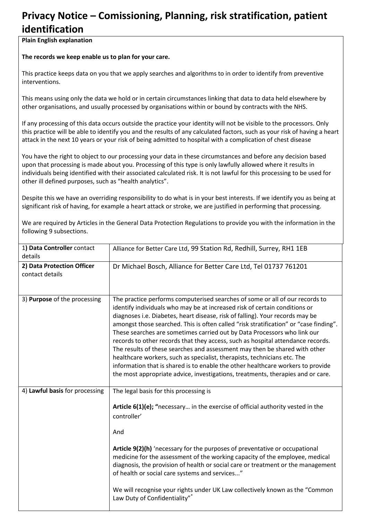## **Privacy Notice – Comissioning, Planning, risk stratification, patient identification**

**Plain English explanation** 

**The records we keep enable us to plan for your care.** 

This practice keeps data on you that we apply searches and algorithms to in order to identify from preventive interventions.

This means using only the data we hold or in certain circumstances linking that data to data held elsewhere by other organisations, and usually processed by organisations within or bound by contracts with the NHS.

If any processing of this data occurs outside the practice your identity will not be visible to the processors. Only this practice will be able to identify you and the results of any calculated factors, such as your risk of having a heart attack in the next 10 years or your risk of being admitted to hospital with a complication of chest disease

You have the right to object to our processing your data in these circumstances and before any decision based upon that processing is made about you. Processing of this type is only lawfully allowed where it results in individuals being identified with their associated calculated risk. It is not lawful for this processing to be used for other ill defined purposes, such as "health analytics".

Despite this we have an overriding responsibility to do what is in your best interests. If we identify you as being at significant risk of having, for example a heart attack or stroke, we are justified in performing that processing.

| 1) Data Controller contact<br>details         | Alliance for Better Care Ltd, 99 Station Rd, Redhill, Surrey, RH1 1EB                                                                                                                                                                                                                                                                                                                                                                                                                                                                                                                                                                                                                                                                                                                                                               |
|-----------------------------------------------|-------------------------------------------------------------------------------------------------------------------------------------------------------------------------------------------------------------------------------------------------------------------------------------------------------------------------------------------------------------------------------------------------------------------------------------------------------------------------------------------------------------------------------------------------------------------------------------------------------------------------------------------------------------------------------------------------------------------------------------------------------------------------------------------------------------------------------------|
| 2) Data Protection Officer<br>contact details | Dr Michael Bosch, Alliance for Better Care Ltd, Tel 01737 761201                                                                                                                                                                                                                                                                                                                                                                                                                                                                                                                                                                                                                                                                                                                                                                    |
| 3) Purpose of the processing                  | The practice performs computerised searches of some or all of our records to<br>identify individuals who may be at increased risk of certain conditions or<br>diagnoses i.e. Diabetes, heart disease, risk of falling). Your records may be<br>amongst those searched. This is often called "risk stratification" or "case finding".<br>These searches are sometimes carried out by Data Processors who link our<br>records to other records that they access, such as hospital attendance records.<br>The results of these searches and assessment may then be shared with other<br>healthcare workers, such as specialist, therapists, technicians etc. The<br>information that is shared is to enable the other healthcare workers to provide<br>the most appropriate advice, investigations, treatments, therapies and or care. |
| 4) Lawful basis for processing                | The legal basis for this processing is<br>Article 6(1)(e); "necessary in the exercise of official authority vested in the<br>controller'<br>And<br>Article 9(2)(h) 'necessary for the purposes of preventative or occupational<br>medicine for the assessment of the working capacity of the employee, medical<br>diagnosis, the provision of health or social care or treatment or the management<br>of health or social care systems and services"<br>We will recognise your rights under UK Law collectively known as the "Common<br>Law Duty of Confidentiality"*                                                                                                                                                                                                                                                               |

We are required by Articles in the General Data Protection Regulations to provide you with the information in the following 9 subsections.